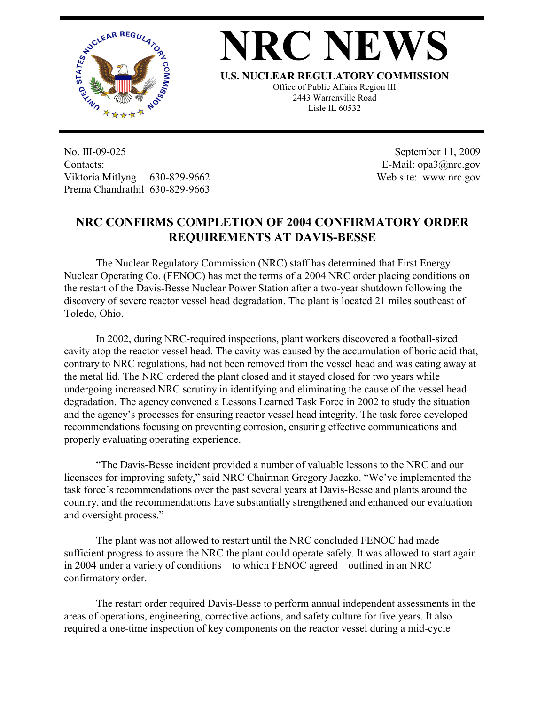

## **NRC NEWS**

**U.S. NUCLEAR REGULATORY COMMISSION**

Office of Public Affairs Region III 2443 Warrenville Road Lisle IL 60532

No. III-09-025 Contacts: Viktoria Mitlyng 630-829-9662 Prema Chandrathil 630-829-9663

 September 11, 2009 E-Mail: opa3@nrc.gov Web site: www.nrc.gov

## **NRC CONFIRMS COMPLETION OF 2004 CONFIRMATORY ORDER REQUIREMENTS AT DAVIS-BESSE**

 The Nuclear Regulatory Commission (NRC) staff has determined that First Energy Nuclear Operating Co. (FENOC) has met the terms of a 2004 NRC order placing conditions on the restart of the Davis-Besse Nuclear Power Station after a two-year shutdown following the discovery of severe reactor vessel head degradation. The plant is located 21 miles southeast of Toledo, Ohio.

 In 2002, during NRC-required inspections, plant workers discovered a football-sized cavity atop the reactor vessel head. The cavity was caused by the accumulation of boric acid that, contrary to NRC regulations, had not been removed from the vessel head and was eating away at the metal lid. The NRC ordered the plant closed and it stayed closed for two years while undergoing increased NRC scrutiny in identifying and eliminating the cause of the vessel head degradation. The agency convened a Lessons Learned Task Force in 2002 to study the situation and the agency's processes for ensuring reactor vessel head integrity. The task force developed recommendations focusing on preventing corrosion, ensuring effective communications and properly evaluating operating experience.

 "The Davis-Besse incident provided a number of valuable lessons to the NRC and our licensees for improving safety," said NRC Chairman Gregory Jaczko. "We've implemented the task force's recommendations over the past several years at Davis-Besse and plants around the country, and the recommendations have substantially strengthened and enhanced our evaluation and oversight process."

 The plant was not allowed to restart until the NRC concluded FENOC had made sufficient progress to assure the NRC the plant could operate safely. It was allowed to start again in 2004 under a variety of conditions – to which FENOC agreed – outlined in an NRC confirmatory order.

 The restart order required Davis-Besse to perform annual independent assessments in the areas of operations, engineering, corrective actions, and safety culture for five years. It also required a one-time inspection of key components on the reactor vessel during a mid-cycle